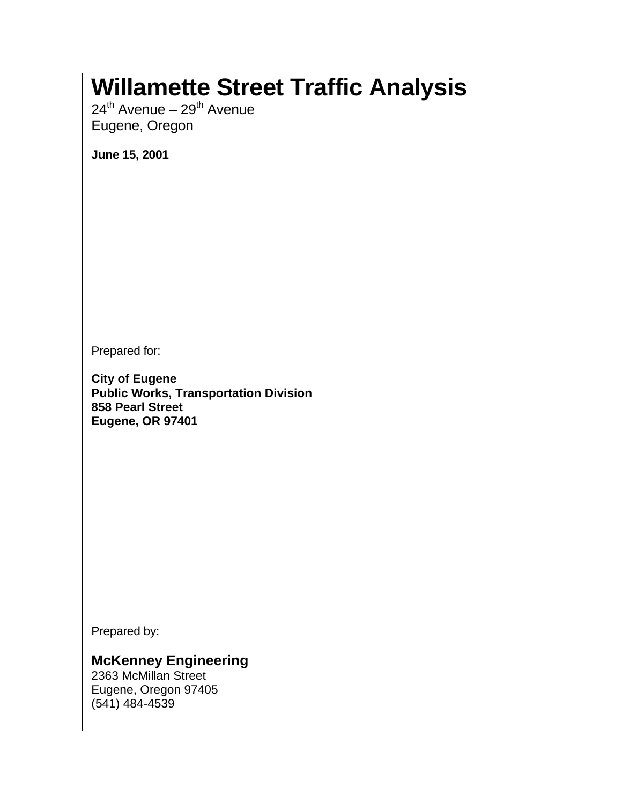# **Willamette Street Traffic Analysis**

 $24^{th}$  Avenue –  $29^{th}$  Avenue Eugene, Oregon

**June 15, 2001** 

Prepared for:

**City of Eugene Public Works, Transportation Division 858 Pearl Street Eugene, OR 97401** 

Prepared by:

## **McKenney Engineering**

2363 McMillan Street Eugene, Oregon 97405 (541) 484-4539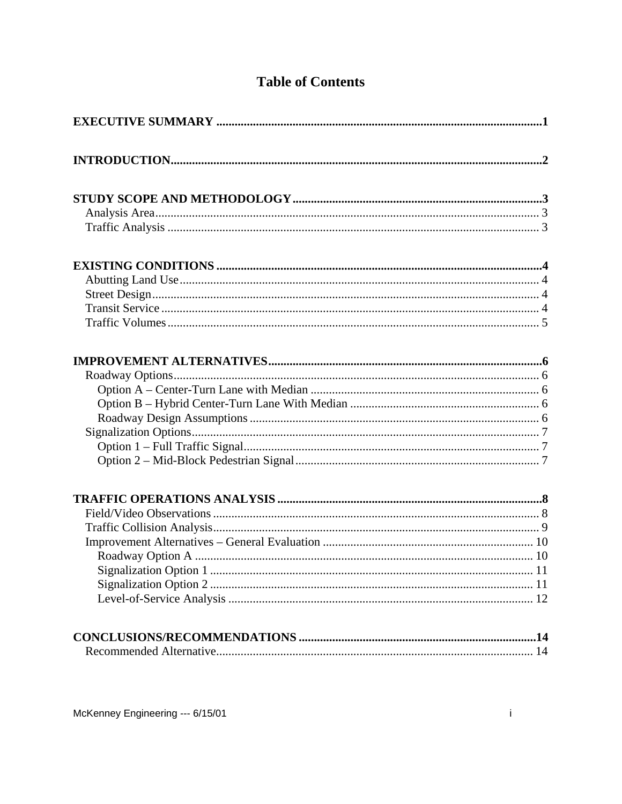# **Table of Contents**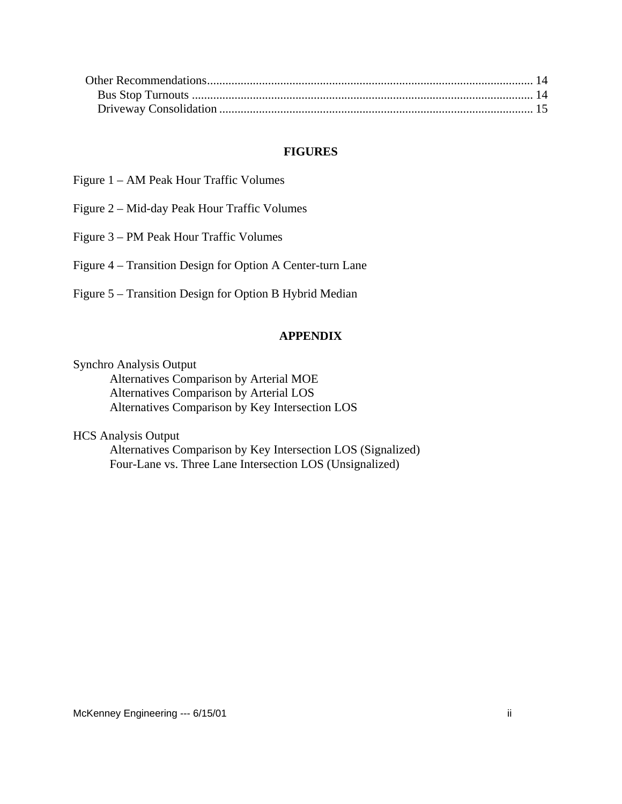#### **FIGURES**

- Figure 1 AM Peak Hour Traffic Volumes
- Figure 2 Mid-day Peak Hour Traffic Volumes
- Figure 3 PM Peak Hour Traffic Volumes

Figure 4 – Transition Design for Option A Center-turn Lane

Figure 5 – Transition Design for Option B Hybrid Median

#### **APPENDIX**

Synchro Analysis Output

 Alternatives Comparison by Arterial MOE Alternatives Comparison by Arterial LOS Alternatives Comparison by Key Intersection LOS

HCS Analysis Output

Alternatives Comparison by Key Intersection LOS (Signalized) Four-Lane vs. Three Lane Intersection LOS (Unsignalized)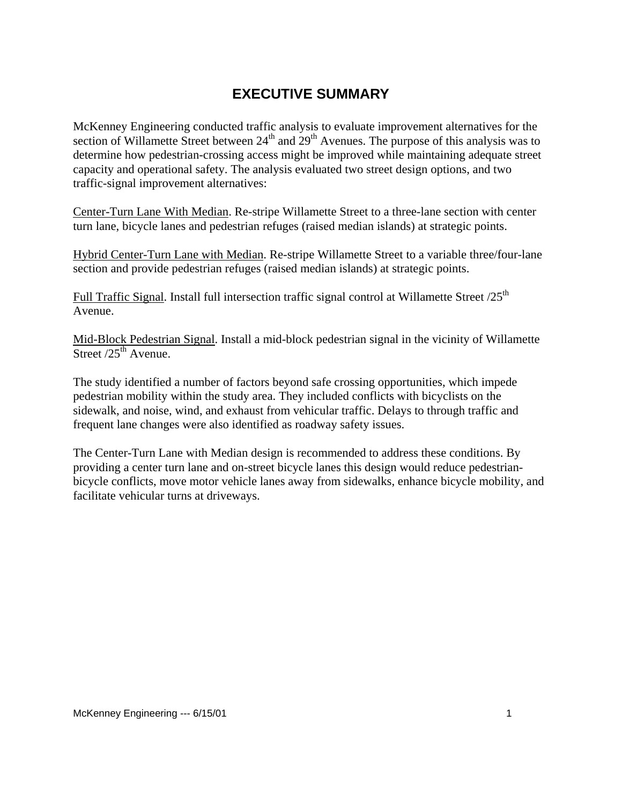# **EXECUTIVE SUMMARY**

<span id="page-3-0"></span>McKenney Engineering conducted traffic analysis to evaluate improvement alternatives for the section of Willamette Street between  $24<sup>th</sup>$  and  $29<sup>th</sup>$  Avenues. The purpose of this analysis was to determine how pedestrian-crossing access might be improved while maintaining adequate street capacity and operational safety. The analysis evaluated two street design options, and two traffic-signal improvement alternatives:

Center-Turn Lane With Median. Re-stripe Willamette Street to a three-lane section with center turn lane, bicycle lanes and pedestrian refuges (raised median islands) at strategic points.

Hybrid Center-Turn Lane with Median. Re-stripe Willamette Street to a variable three/four-lane section and provide pedestrian refuges (raised median islands) at strategic points.

Full Traffic Signal. Install full intersection traffic signal control at Willamette Street  $/25<sup>th</sup>$ Avenue.

Mid-Block Pedestrian Signal. Install a mid-block pedestrian signal in the vicinity of Willamette Street  $/25^{th}$  Avenue.

The study identified a number of factors beyond safe crossing opportunities, which impede pedestrian mobility within the study area. They included conflicts with bicyclists on the sidewalk, and noise, wind, and exhaust from vehicular traffic. Delays to through traffic and frequent lane changes were also identified as roadway safety issues.

The Center-Turn Lane with Median design is recommended to address these conditions. By providing a center turn lane and on-street bicycle lanes this design would reduce pedestrianbicycle conflicts, move motor vehicle lanes away from sidewalks, enhance bicycle mobility, and facilitate vehicular turns at driveways.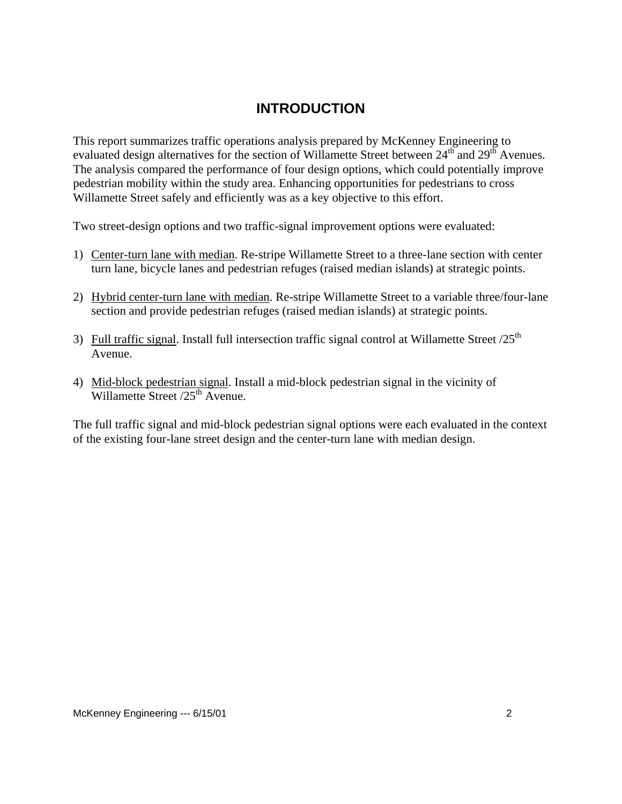## **INTRODUCTION**

<span id="page-4-0"></span>This report summarizes traffic operations analysis prepared by McKenney Engineering to evaluated design alternatives for the section of Willamette Street between  $24<sup>th</sup>$  and  $29<sup>th</sup>$  Avenues. The analysis compared the performance of four design options, which could potentially improve pedestrian mobility within the study area. Enhancing opportunities for pedestrians to cross Willamette Street safely and efficiently was as a key objective to this effort.

Two street-design options and two traffic-signal improvement options were evaluated:

- 1) Center-turn lane with median. Re-stripe Willamette Street to a three-lane section with center turn lane, bicycle lanes and pedestrian refuges (raised median islands) at strategic points.
- 2) Hybrid center-turn lane with median. Re-stripe Willamette Street to a variable three/four-lane section and provide pedestrian refuges (raised median islands) at strategic points.
- 3) Full traffic signal. Install full intersection traffic signal control at Willamette Street  $/25<sup>th</sup>$ Avenue.
- 4) Mid-block pedestrian signal. Install a mid-block pedestrian signal in the vicinity of Willamette Street /25<sup>th</sup> Avenue.

The full traffic signal and mid-block pedestrian signal options were each evaluated in the context of the existing four-lane street design and the center-turn lane with median design.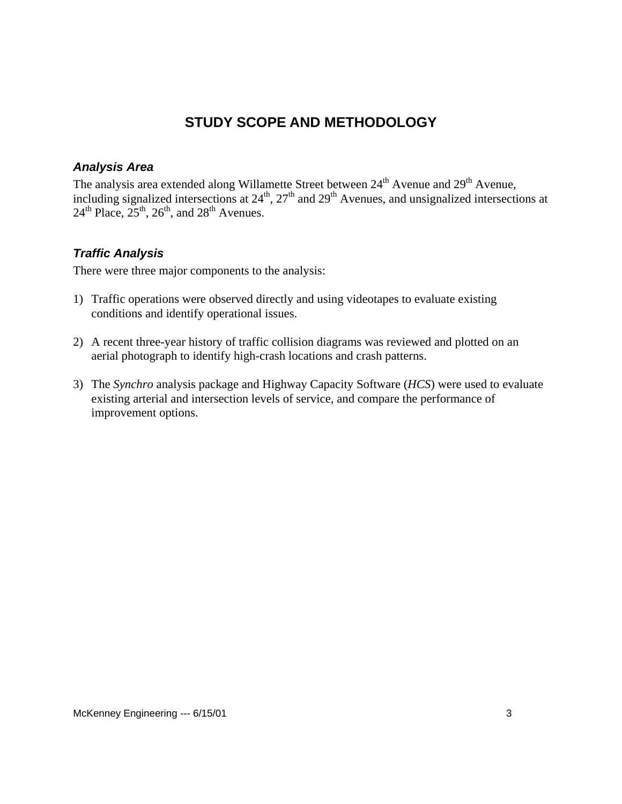# **STUDY SCOPE AND METHODOLOGY**

## <span id="page-5-0"></span>*Analysis Area*

The analysis area extended along Willamette Street between 24<sup>th</sup> Avenue and 29<sup>th</sup> Avenue, including signalized intersections at  $24^{\text{th}}$ ,  $27^{\text{th}}$  and  $29^{\text{th}}$  Avenues, and unsignalized intersections at  $24^{\text{th}}$  Place,  $25^{\text{th}}$ ,  $26^{\text{th}}$ , and  $28^{\text{th}}$  Avenues.

#### *Traffic Analysis*

There were three major components to the analysis:

- 1) Traffic operations were observed directly and using videotapes to evaluate existing conditions and identify operational issues.
- 2) A recent three-year history of traffic collision diagrams was reviewed and plotted on an aerial photograph to identify high-crash locations and crash patterns.
- 3) The *Synchro* analysis package and Highway Capacity Software (*HCS*) were used to evaluate existing arterial and intersection levels of service, and compare the performance of improvement options.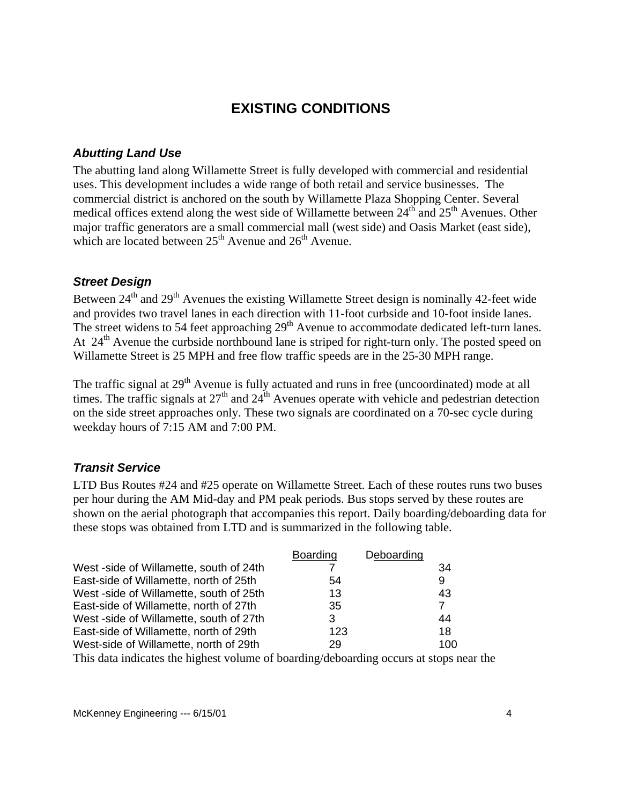## **EXISTING CONDITIONS**

#### <span id="page-6-0"></span>*Abutting Land Use*

The abutting land along Willamette Street is fully developed with commercial and residential uses. This development includes a wide range of both retail and service businesses. The commercial district is anchored on the south by Willamette Plaza Shopping Center. Several medical offices extend along the west side of Willamette between  $24<sup>th</sup>$  and  $25<sup>th</sup>$  Avenues. Other major traffic generators are a small commercial mall (west side) and Oasis Market (east side), which are located between  $25<sup>th</sup>$  Avenue and  $26<sup>th</sup>$  Avenue.

#### *Street Design*

Between  $24<sup>th</sup>$  and  $29<sup>th</sup>$  Avenues the existing Willamette Street design is nominally 42-feet wide and provides two travel lanes in each direction with 11-foot curbside and 10-foot inside lanes. The street widens to 54 feet approaching 29<sup>th</sup> Avenue to accommodate dedicated left-turn lanes. At 24<sup>th</sup> Avenue the curbside northbound lane is striped for right-turn only. The posted speed on Willamette Street is 25 MPH and free flow traffic speeds are in the 25-30 MPH range.

The traffic signal at 29<sup>th</sup> Avenue is fully actuated and runs in free (uncoordinated) mode at all times. The traffic signals at  $27<sup>th</sup>$  and  $24<sup>th</sup>$  Avenues operate with vehicle and pedestrian detection on the side street approaches only. These two signals are coordinated on a 70-sec cycle during weekday hours of 7:15 AM and 7:00 PM.

## *Transit Service*

LTD Bus Routes #24 and #25 operate on Willamette Street. Each of these routes runs two buses per hour during the AM Mid-day and PM peak periods. Bus stops served by these routes are shown on the aerial photograph that accompanies this report. Daily boarding/deboarding data for these stops was obtained from LTD and is summarized in the following table.

|                                        | <b>Boarding</b> | Deboarding |     |
|----------------------------------------|-----------------|------------|-----|
| West-side of Willamette, south of 24th |                 |            | 34  |
| East-side of Willamette, north of 25th | 54              |            | 9   |
| West-side of Willamette, south of 25th | 13              |            | 43  |
| East-side of Willamette, north of 27th | 35              |            | 7   |
| West-side of Willamette, south of 27th | 3               |            | 44  |
| East-side of Willamette, north of 29th | 123             |            | 18  |
| West-side of Willamette, north of 29th | 29              |            | 100 |

This data indicates the highest volume of boarding/deboarding occurs at stops near the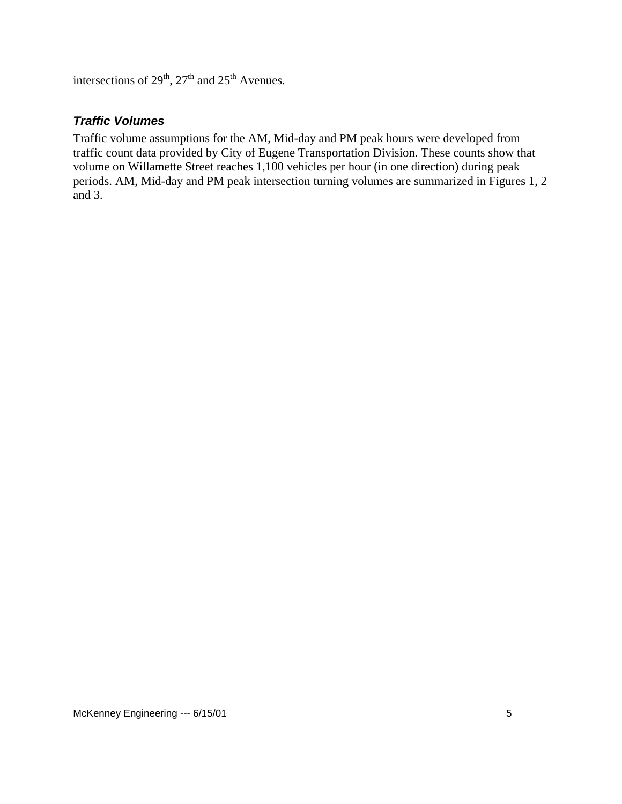<span id="page-7-0"></span>intersections of  $29<sup>th</sup>$ ,  $27<sup>th</sup>$  and  $25<sup>th</sup>$  Avenues.

### *Traffic Volumes*

Traffic volume assumptions for the AM, Mid-day and PM peak hours were developed from traffic count data provided by City of Eugene Transportation Division. These counts show that volume on Willamette Street reaches 1,100 vehicles per hour (in one direction) during peak periods. AM, Mid-day and PM peak intersection turning volumes are summarized in Figures 1, 2 and 3.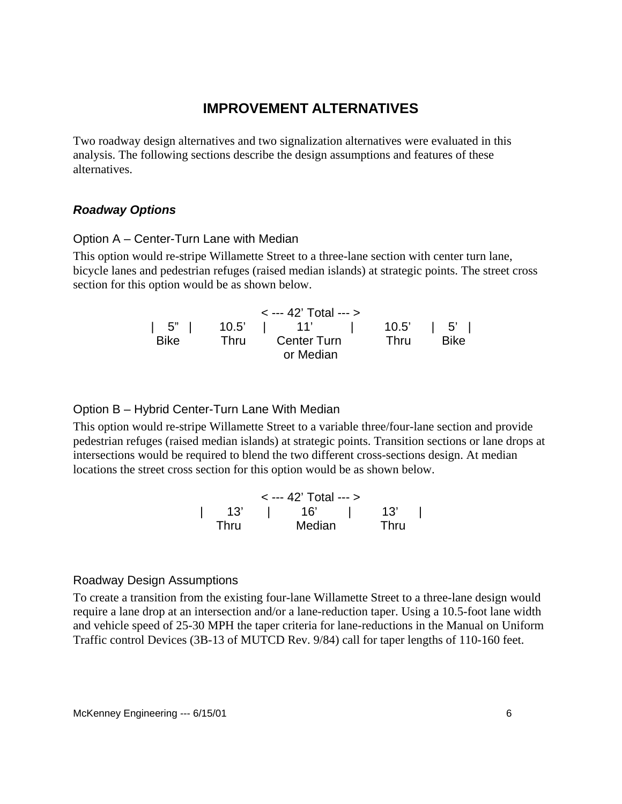## **IMPROVEMENT ALTERNATIVES**

<span id="page-8-0"></span>Two roadway design alternatives and two signalization alternatives were evaluated in this analysis. The following sections describe the design assumptions and features of these alternatives.

#### *Roadway Options*

#### Option A – Center-Turn Lane with Median

This option would re-stripe Willamette Street to a three-lane section with center turn lane, bicycle lanes and pedestrian refuges (raised median islands) at strategic points. The street cross section for this option would be as shown below.

|                  |      | $\le$ --- 42' Total --- $>$ |      |                |
|------------------|------|-----------------------------|------|----------------|
| $\vert 5" \vert$ |      | 10.5'   11'                 |      | $10.5'$   $5'$ |
| <b>Bike</b>      | Thru | <b>Center Turn</b>          | Thru | <b>Bike</b>    |
|                  |      | or Median                   |      |                |

#### Option B – Hybrid Center-Turn Lane With Median

This option would re-stripe Willamette Street to a variable three/four-lane section and provide pedestrian refuges (raised median islands) at strategic points. Transition sections or lane drops at intersections would be required to blend the two different cross-sections design. At median locations the street cross section for this option would be as shown below.

< --- 42' Total --- > | 13' | 16' | 13' | Thru Median Thru

#### Roadway Design Assumptions

To create a transition from the existing four-lane Willamette Street to a three-lane design would require a lane drop at an intersection and/or a lane-reduction taper. Using a 10.5-foot lane width and vehicle speed of 25-30 MPH the taper criteria for lane-reductions in the Manual on Uniform Traffic control Devices (3B-13 of MUTCD Rev. 9/84) call for taper lengths of 110-160 feet.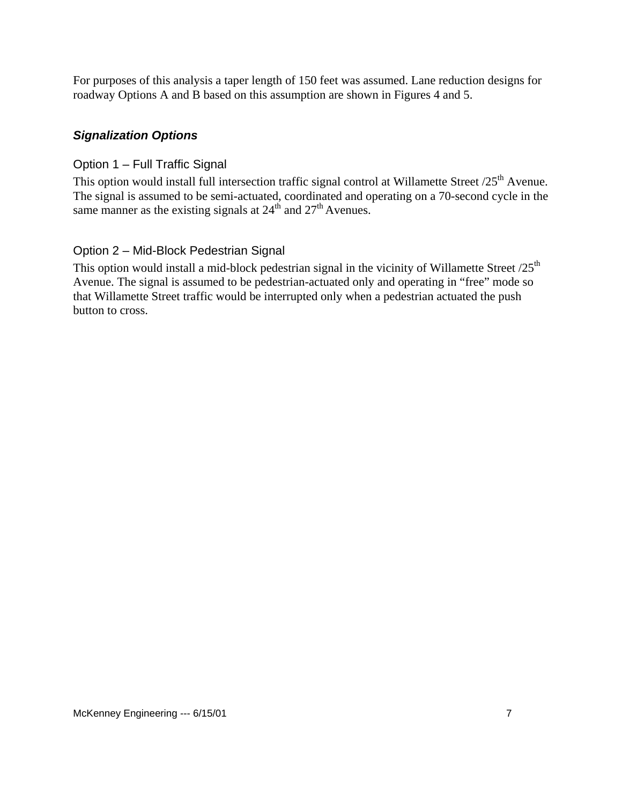<span id="page-9-0"></span>For purposes of this analysis a taper length of 150 feet was assumed. Lane reduction designs for roadway Options A and B based on this assumption are shown in Figures 4 and 5.

## *Signalization Options*

#### Option 1 – Full Traffic Signal

This option would install full intersection traffic signal control at Willamette Street /25<sup>th</sup> Avenue. The signal is assumed to be semi-actuated, coordinated and operating on a 70-second cycle in the same manner as the existing signals at  $24<sup>th</sup>$  and  $27<sup>th</sup>$  Avenues.

#### Option 2 – Mid-Block Pedestrian Signal

This option would install a mid-block pedestrian signal in the vicinity of Willamette Street  $/25<sup>th</sup>$ Avenue. The signal is assumed to be pedestrian-actuated only and operating in "free" mode so that Willamette Street traffic would be interrupted only when a pedestrian actuated the push button to cross.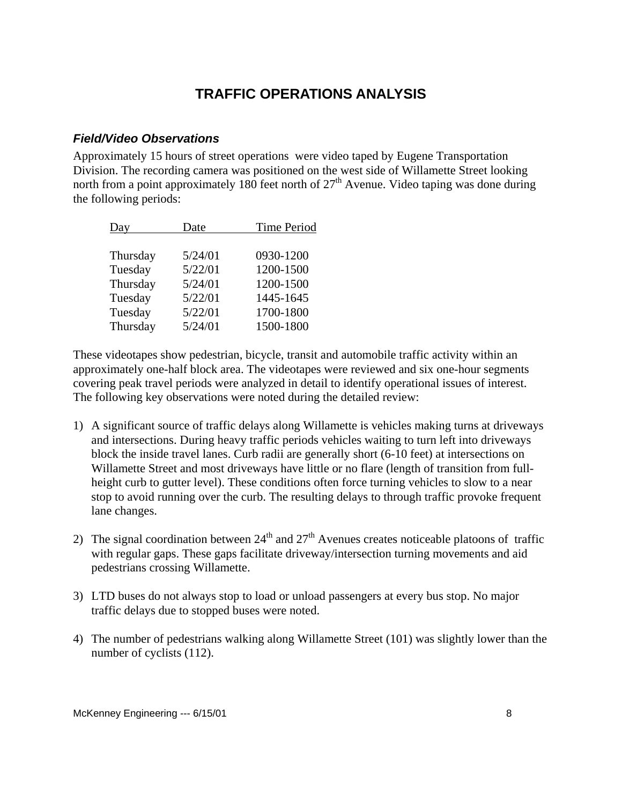# **TRAFFIC OPERATIONS ANALYSIS**

#### <span id="page-10-0"></span>*Field/Video Observations*

Approximately 15 hours of street operations were video taped by Eugene Transportation Division. The recording camera was positioned on the west side of Willamette Street looking north from a point approximately 180 feet north of  $27<sup>th</sup>$  Avenue. Video taping was done during the following periods:

| Day      | Date    | <b>Time Period</b> |  |  |
|----------|---------|--------------------|--|--|
|          |         |                    |  |  |
| Thursday | 5/24/01 | 0930-1200          |  |  |
| Tuesday  | 5/22/01 | 1200-1500          |  |  |
| Thursday | 5/24/01 | 1200-1500          |  |  |
| Tuesday  | 5/22/01 | 1445-1645          |  |  |
| Tuesday  | 5/22/01 | 1700-1800          |  |  |
| Thursday | 5/24/01 | 1500-1800          |  |  |

These videotapes show pedestrian, bicycle, transit and automobile traffic activity within an approximately one-half block area. The videotapes were reviewed and six one-hour segments covering peak travel periods were analyzed in detail to identify operational issues of interest. The following key observations were noted during the detailed review:

- 1) A significant source of traffic delays along Willamette is vehicles making turns at driveways and intersections. During heavy traffic periods vehicles waiting to turn left into driveways block the inside travel lanes. Curb radii are generally short (6-10 feet) at intersections on Willamette Street and most driveways have little or no flare (length of transition from fullheight curb to gutter level). These conditions often force turning vehicles to slow to a near stop to avoid running over the curb. The resulting delays to through traffic provoke frequent lane changes.
- 2) The signal coordination between  $24<sup>th</sup>$  and  $27<sup>th</sup>$  Avenues creates noticeable platoons of traffic with regular gaps. These gaps facilitate driveway/intersection turning movements and aid pedestrians crossing Willamette.
- 3) LTD buses do not always stop to load or unload passengers at every bus stop. No major traffic delays due to stopped buses were noted.
- 4) The number of pedestrians walking along Willamette Street (101) was slightly lower than the number of cyclists (112).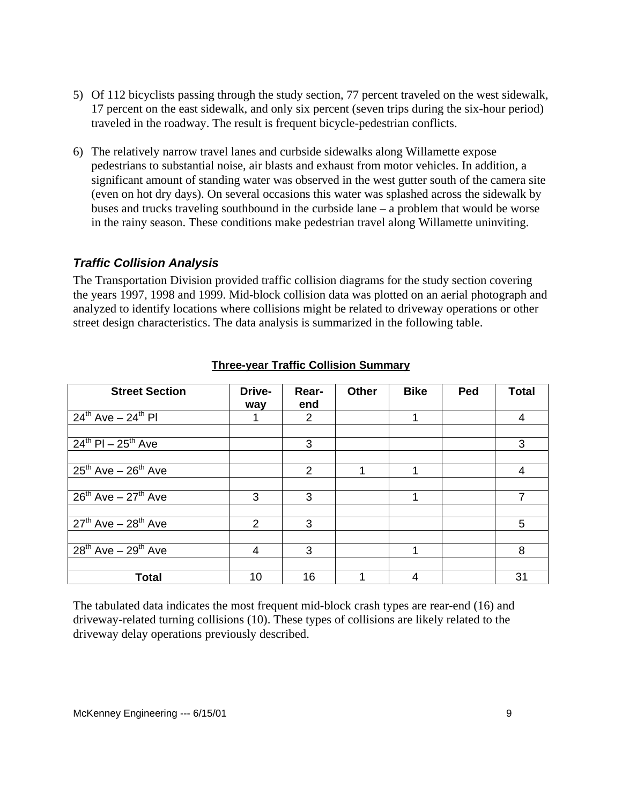- <span id="page-11-0"></span>5) Of 112 bicyclists passing through the study section, 77 percent traveled on the west sidewalk, 17 percent on the east sidewalk, and only six percent (seven trips during the six-hour period) traveled in the roadway. The result is frequent bicycle-pedestrian conflicts.
- 6) The relatively narrow travel lanes and curbside sidewalks along Willamette expose pedestrians to substantial noise, air blasts and exhaust from motor vehicles. In addition, a significant amount of standing water was observed in the west gutter south of the camera site (even on hot dry days). On several occasions this water was splashed across the sidewalk by buses and trucks traveling southbound in the curbside lane – a problem that would be worse in the rainy season. These conditions make pedestrian travel along Willamette uninviting.

#### *Traffic Collision Analysis*

The Transportation Division provided traffic collision diagrams for the study section covering the years 1997, 1998 and 1999. Mid-block collision data was plotted on an aerial photograph and analyzed to identify locations where collisions might be related to driveway operations or other street design characteristics. The data analysis is summarized in the following table.

| <b>Street Section</b>         | Drive-<br>way | Rear-<br>end | Other | <b>Bike</b> | Ped | <b>Total</b>   |
|-------------------------------|---------------|--------------|-------|-------------|-----|----------------|
| $24^{th}$ Ave $-24^{th}$ PI   |               | 2            |       |             |     | 4              |
|                               |               |              |       |             |     |                |
| $24^{th}$ PI - $25^{th}$ Ave  |               | 3            |       |             |     | 3              |
|                               |               |              |       |             |     |                |
| $25^{th}$ Ave - $26^{th}$ Ave |               | 2            |       |             |     | 4              |
|                               |               |              |       |             |     |                |
| $26^{th}$ Ave - $27^{th}$ Ave | 3             | 3            |       |             |     | $\overline{7}$ |
|                               |               |              |       |             |     |                |
| $27th$ Ave $-28th$ Ave        | $\mathcal{P}$ | 3            |       |             |     | 5              |
|                               |               |              |       |             |     |                |
| $28^{th}$ Ave - $29^{th}$ Ave | 4             | 3            |       |             |     | 8              |
|                               |               |              |       |             |     |                |
| <b>Total</b>                  | 10            | 16           |       | 4           |     | 31             |

#### **Three-year Traffic Collision Summary**

The tabulated data indicates the most frequent mid-block crash types are rear-end (16) and driveway-related turning collisions (10). These types of collisions are likely related to the driveway delay operations previously described.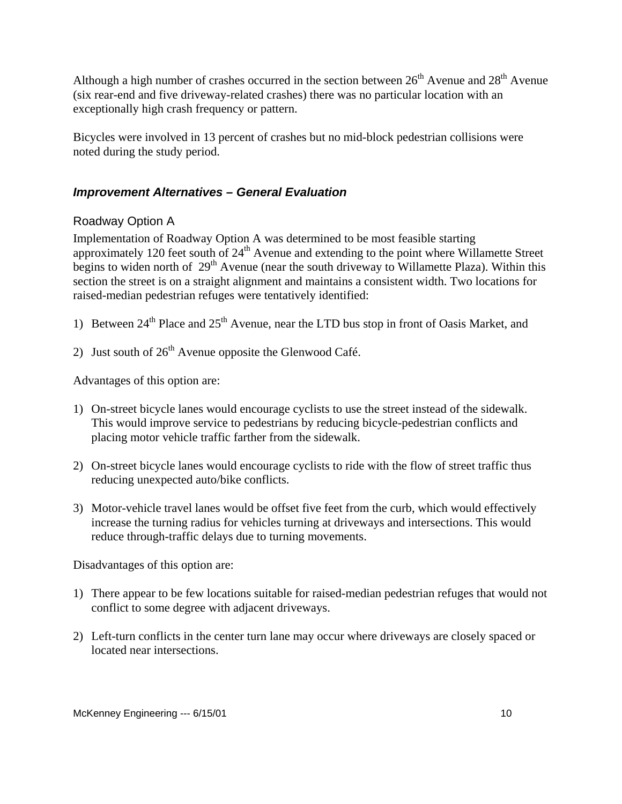<span id="page-12-0"></span>Although a high number of crashes occurred in the section between  $26<sup>th</sup>$  Avenue and  $28<sup>th</sup>$  Avenue (six rear-end and five driveway-related crashes) there was no particular location with an exceptionally high crash frequency or pattern.

Bicycles were involved in 13 percent of crashes but no mid-block pedestrian collisions were noted during the study period.

## *Improvement Alternatives – General Evaluation*

## Roadway Option A

Implementation of Roadway Option A was determined to be most feasible starting approximately 120 feet south of  $24<sup>th</sup>$  Avenue and extending to the point where Willamette Street begins to widen north of  $29<sup>th</sup>$  Avenue (near the south driveway to Willamette Plaza). Within this section the street is on a straight alignment and maintains a consistent width. Two locations for raised-median pedestrian refuges were tentatively identified:

- 1) Between  $24^{th}$  Place and  $25^{th}$  Avenue, near the LTD bus stop in front of Oasis Market, and
- 2) Just south of  $26<sup>th</sup>$  Avenue opposite the Glenwood Café.

Advantages of this option are:

- 1) On-street bicycle lanes would encourage cyclists to use the street instead of the sidewalk. This would improve service to pedestrians by reducing bicycle-pedestrian conflicts and placing motor vehicle traffic farther from the sidewalk.
- 2) On-street bicycle lanes would encourage cyclists to ride with the flow of street traffic thus reducing unexpected auto/bike conflicts.
- 3) Motor-vehicle travel lanes would be offset five feet from the curb, which would effectively increase the turning radius for vehicles turning at driveways and intersections. This would reduce through-traffic delays due to turning movements.

Disadvantages of this option are:

- 1) There appear to be few locations suitable for raised-median pedestrian refuges that would not conflict to some degree with adjacent driveways.
- 2) Left-turn conflicts in the center turn lane may occur where driveways are closely spaced or located near intersections.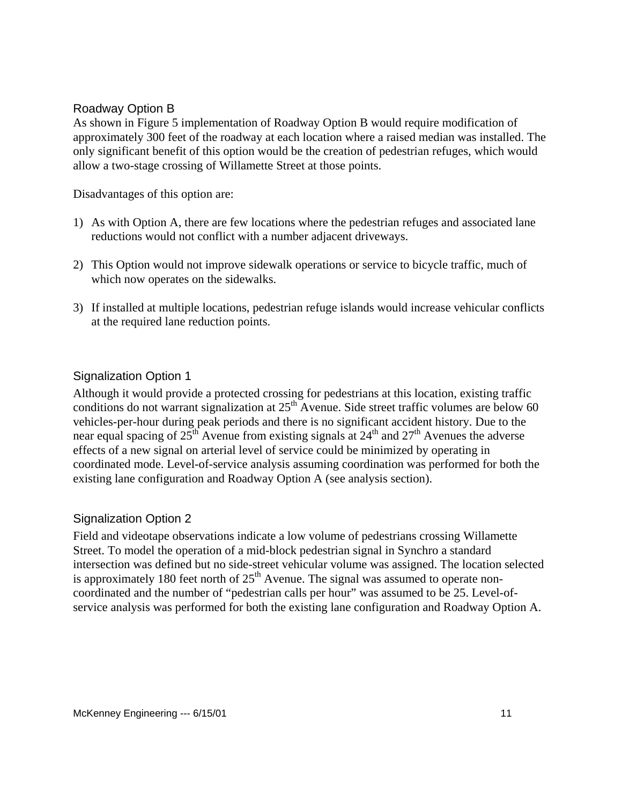#### <span id="page-13-0"></span>Roadway Option B

As shown in Figure 5 implementation of Roadway Option B would require modification of approximately 300 feet of the roadway at each location where a raised median was installed. The only significant benefit of this option would be the creation of pedestrian refuges, which would allow a two-stage crossing of Willamette Street at those points.

Disadvantages of this option are:

- 1) As with Option A, there are few locations where the pedestrian refuges and associated lane reductions would not conflict with a number adjacent driveways.
- 2) This Option would not improve sidewalk operations or service to bicycle traffic, much of which now operates on the sidewalks.
- 3) If installed at multiple locations, pedestrian refuge islands would increase vehicular conflicts at the required lane reduction points.

#### Signalization Option 1

Although it would provide a protected crossing for pedestrians at this location, existing traffic conditions do not warrant signalization at  $25<sup>th</sup>$  Avenue. Side street traffic volumes are below 60 vehicles-per-hour during peak periods and there is no significant accident history. Due to the near equal spacing of  $25<sup>th</sup>$  Avenue from existing signals at  $24<sup>th</sup>$  and  $27<sup>th</sup>$  Avenues the adverse effects of a new signal on arterial level of service could be minimized by operating in coordinated mode. Level-of-service analysis assuming coordination was performed for both the existing lane configuration and Roadway Option A (see analysis section).

#### Signalization Option 2

Field and videotape observations indicate a low volume of pedestrians crossing Willamette Street. To model the operation of a mid-block pedestrian signal in Synchro a standard intersection was defined but no side-street vehicular volume was assigned. The location selected is approximately 180 feet north of  $25<sup>th</sup>$  Avenue. The signal was assumed to operate noncoordinated and the number of "pedestrian calls per hour" was assumed to be 25. Level-ofservice analysis was performed for both the existing lane configuration and Roadway Option A.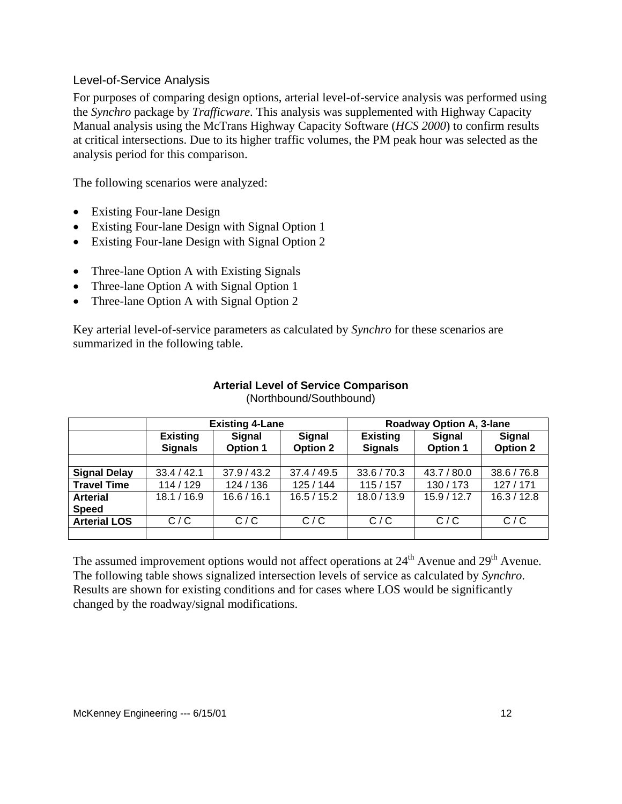#### <span id="page-14-0"></span>Level-of-Service Analysis

For purposes of comparing design options, arterial level-of-service analysis was performed using the *Synchro* package by *Trafficware*. This analysis was supplemented with Highway Capacity Manual analysis using the McTrans Highway Capacity Software (*HCS 2000*) to confirm results at critical intersections. Due to its higher traffic volumes, the PM peak hour was selected as the analysis period for this comparison.

The following scenarios were analyzed:

- **Existing Four-lane Design**
- Existing Four-lane Design with Signal Option 1
- Existing Four-lane Design with Signal Option 2
- Three-lane Option A with Existing Signals
- Three-lane Option A with Signal Option 1
- Three-lane Option A with Signal Option 2

Key arterial level-of-service parameters as calculated by *Synchro* for these scenarios are summarized in the following table.

|                     | <b>Existing 4-Lane</b>            |                                  |                                  | Roadway Option A, 3-lane          |                                  |                                  |
|---------------------|-----------------------------------|----------------------------------|----------------------------------|-----------------------------------|----------------------------------|----------------------------------|
|                     | <b>Existing</b><br><b>Signals</b> | <b>Signal</b><br><b>Option 1</b> | <b>Signal</b><br><b>Option 2</b> | <b>Existing</b><br><b>Signals</b> | <b>Signal</b><br><b>Option 1</b> | <b>Signal</b><br><b>Option 2</b> |
|                     |                                   |                                  |                                  |                                   |                                  |                                  |
| <b>Signal Delay</b> | 33.4 / 42.1                       | 37.9 / 43.2                      | 37.4 / 49.5                      | 33.6 / 70.3                       | 43.7 / 80.0                      | 38.6 / 76.8                      |
| <b>Travel Time</b>  | 114 / 129                         | 124 / 136                        | 125/144                          | 115/157                           | 130/173                          | 127/171                          |
| <b>Arterial</b>     | 18.1 / 16.9                       | 16.6 / 16.1                      | 16.5 / 15.2                      | 18.0 / 13.9                       | 15.9/12.7                        | 16.3 / 12.8                      |
| <b>Speed</b>        |                                   |                                  |                                  |                                   |                                  |                                  |
| <b>Arterial LOS</b> | C/C                               | C/C                              | C/C                              | C/C                               | C/C                              | C/C                              |
|                     |                                   |                                  |                                  |                                   |                                  |                                  |

#### **Arterial Level of Service Comparison**  (Northbound/Southbound)

The assumed improvement options would not affect operations at 24<sup>th</sup> Avenue and 29<sup>th</sup> Avenue. The following table shows signalized intersection levels of service as calculated by *Synchro*. Results are shown for existing conditions and for cases where LOS would be significantly changed by the roadway/signal modifications.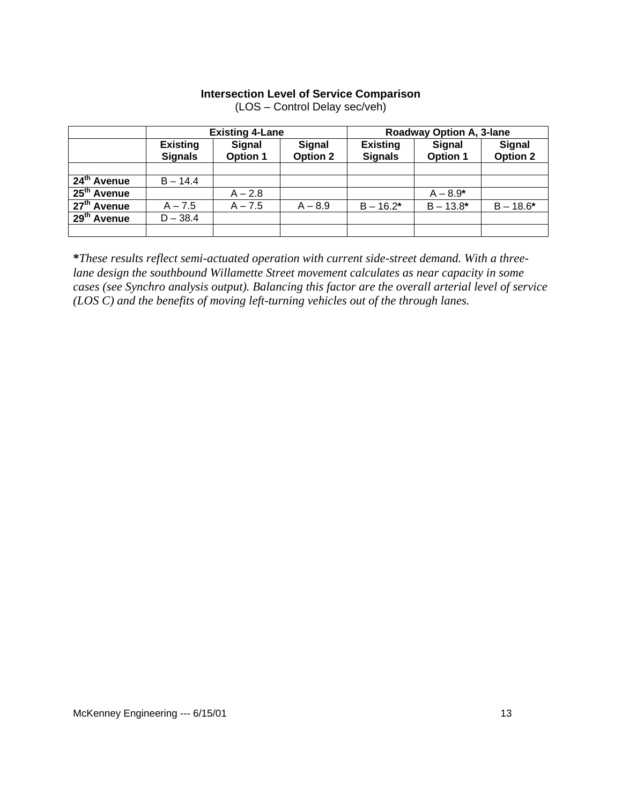#### **Intersection Level of Service Comparison**

|                         | <b>Existing 4-Lane</b>            |                                  |                                  | <b>Roadway Option A, 3-lane</b>   |                                  |                                  |
|-------------------------|-----------------------------------|----------------------------------|----------------------------------|-----------------------------------|----------------------------------|----------------------------------|
|                         | <b>Existing</b><br><b>Signals</b> | <b>Signal</b><br><b>Option 1</b> | <b>Signal</b><br><b>Option 2</b> | <b>Existing</b><br><b>Signals</b> | <b>Signal</b><br><b>Option 1</b> | <b>Signal</b><br><b>Option 2</b> |
|                         |                                   |                                  |                                  |                                   |                                  |                                  |
| $24th$ Avenue           | $B - 14.4$                        |                                  |                                  |                                   |                                  |                                  |
| $25th$ Avenue           |                                   | $A - 2.8$                        |                                  |                                   | $A - 8.9*$                       |                                  |
| 27 <sup>th</sup> Avenue | $A - 7.5$                         | $A - 7.5$                        | $A - 8.9$                        | $B - 16.2*$                       | $B - 13.8*$                      | $B - 18.6*$                      |
| $29th$ Avenue           | $D - 38.4$                        |                                  |                                  |                                   |                                  |                                  |
|                         |                                   |                                  |                                  |                                   |                                  |                                  |

(LOS – Control Delay sec/veh)

**\****These results reflect semi-actuated operation with current side-street demand. With a threelane design the southbound Willamette Street movement calculates as near capacity in some cases (see Synchro analysis output). Balancing this factor are the overall arterial level of service (LOS C) and the benefits of moving left-turning vehicles out of the through lanes.*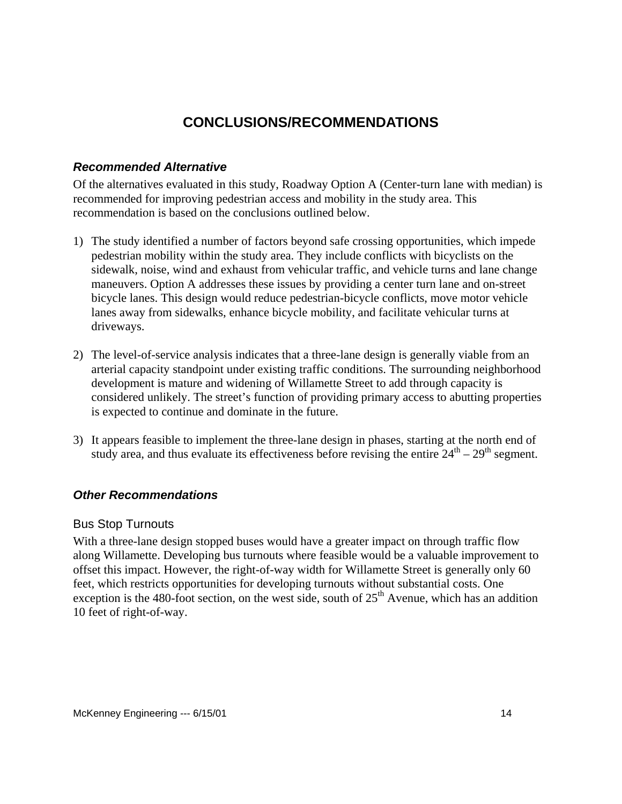# **CONCLUSIONS/RECOMMENDATIONS**

#### <span id="page-16-0"></span>*Recommended Alternative*

Of the alternatives evaluated in this study, Roadway Option A (Center-turn lane with median) is recommended for improving pedestrian access and mobility in the study area. This recommendation is based on the conclusions outlined below.

- 1) The study identified a number of factors beyond safe crossing opportunities, which impede pedestrian mobility within the study area. They include conflicts with bicyclists on the sidewalk, noise, wind and exhaust from vehicular traffic, and vehicle turns and lane change maneuvers. Option A addresses these issues by providing a center turn lane and on-street bicycle lanes. This design would reduce pedestrian-bicycle conflicts, move motor vehicle lanes away from sidewalks, enhance bicycle mobility, and facilitate vehicular turns at driveways.
- 2) The level-of-service analysis indicates that a three-lane design is generally viable from an arterial capacity standpoint under existing traffic conditions. The surrounding neighborhood development is mature and widening of Willamette Street to add through capacity is considered unlikely. The street's function of providing primary access to abutting properties is expected to continue and dominate in the future.
- 3) It appears feasible to implement the three-lane design in phases, starting at the north end of study area, and thus evaluate its effectiveness before revising the entire  $24<sup>th</sup> - 29<sup>th</sup>$  segment.

#### *Other Recommendations*

#### Bus Stop Turnouts

With a three-lane design stopped buses would have a greater impact on through traffic flow along Willamette. Developing bus turnouts where feasible would be a valuable improvement to offset this impact. However, the right-of-way width for Willamette Street is generally only 60 feet, which restricts opportunities for developing turnouts without substantial costs. One exception is the 480-foot section, on the west side, south of  $25<sup>th</sup>$  Avenue, which has an addition 10 feet of right-of-way.